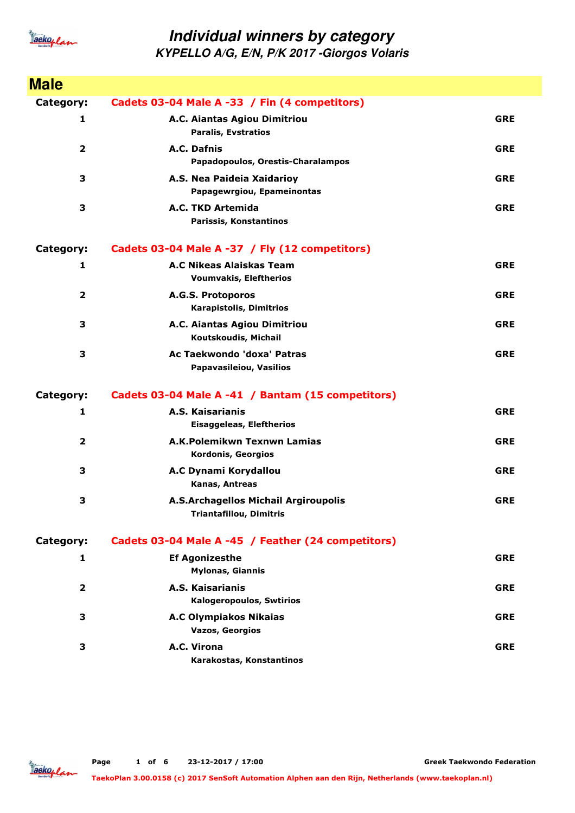

| <b>Male</b>             |                                                                        |            |
|-------------------------|------------------------------------------------------------------------|------------|
| Category:               | Cadets 03-04 Male A -33 / Fin (4 competitors)                          |            |
| 1                       | A.C. Aiantas Agiou Dimitriou<br><b>Paralis, Evstratios</b>             | <b>GRE</b> |
| $\overline{\mathbf{2}}$ | A.C. Dafnis<br>Papadopoulos, Orestis-Charalampos                       | <b>GRE</b> |
| 3                       | A.S. Nea Paideia Xaidarioy<br>Papagewrgiou, Epameinontas               | <b>GRE</b> |
| 3                       | A.C. TKD Artemida<br>Parissis, Konstantinos                            | <b>GRE</b> |
| Category:               | Cadets 03-04 Male A -37 / Fly (12 competitors)                         |            |
| 1                       | A.C Nikeas Alaiskas Team<br><b>Voumvakis, Eleftherios</b>              | <b>GRE</b> |
| 2                       | A.G.S. Protoporos<br><b>Karapistolis, Dimitrios</b>                    | <b>GRE</b> |
| 3                       | A.C. Aiantas Agiou Dimitriou<br>Koutskoudis, Michail                   | <b>GRE</b> |
| 3                       | Ac Taekwondo 'doxa' Patras<br>Papavasileiou, Vasilios                  | <b>GRE</b> |
| <b>Category:</b>        | Cadets 03-04 Male A -41 / Bantam (15 competitors)                      |            |
| 1                       | A.S. Kaisarianis<br>Eisaggeleas, Eleftherios                           | <b>GRE</b> |
| $\overline{\mathbf{2}}$ | A.K.Polemikwn Texnwn Lamias<br>Kordonis, Georgios                      | <b>GRE</b> |
| 3                       | A.C Dynami Korydallou<br>Kanas, Antreas                                | <b>GRE</b> |
| 3                       | A.S.Archagellos Michail Argiroupolis<br><b>Triantafillou, Dimitris</b> | <b>GRE</b> |
| Category:               | Cadets 03-04 Male A -45 / Feather (24 competitors)                     |            |
| 1                       | <b>Ef Agonizesthe</b><br><b>Mylonas, Giannis</b>                       | <b>GRE</b> |
| $\mathbf{2}$            | A.S. Kaisarianis<br><b>Kalogeropoulos, Swtirios</b>                    | <b>GRE</b> |
| 3                       | <b>A.C Olympiakos Nikaias</b><br><b>Vazos, Georgios</b>                | <b>GRE</b> |
| 3                       | A.C. Virona<br>Karakostas, Konstantinos                                | <b>GRE</b> |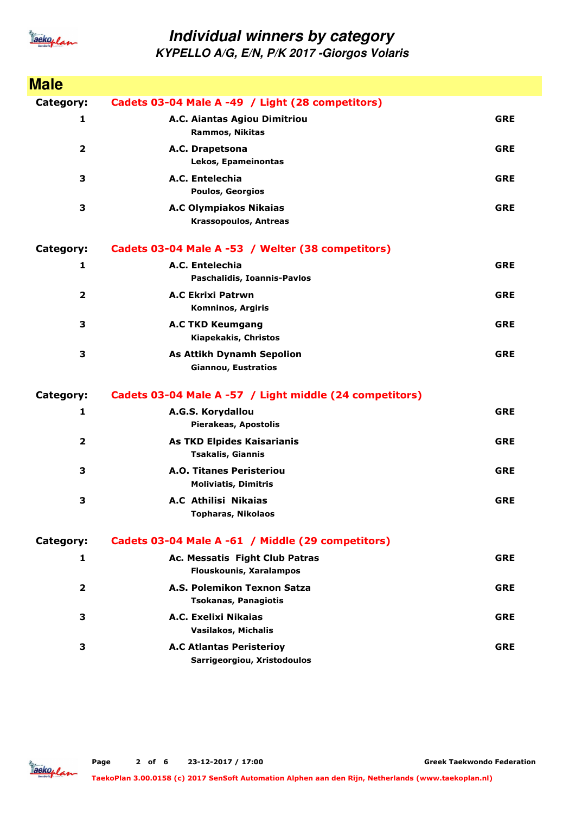

| <b>Male</b>             |                                                                  |            |
|-------------------------|------------------------------------------------------------------|------------|
| Category:               | Cadets 03-04 Male A -49 / Light (28 competitors)                 |            |
| 1                       | A.C. Aiantas Agiou Dimitriou<br><b>Rammos, Nikitas</b>           | <b>GRE</b> |
| $\overline{\mathbf{2}}$ | A.C. Drapetsona<br>Lekos, Epameinontas                           | <b>GRE</b> |
| 3                       | A.C. Entelechia<br><b>Poulos, Georgios</b>                       | <b>GRE</b> |
| 3                       | <b>A.C Olympiakos Nikaias</b><br><b>Krassopoulos, Antreas</b>    | <b>GRE</b> |
| Category:               | Cadets 03-04 Male A -53 / Welter (38 competitors)                |            |
| 1                       | A.C. Entelechia<br>Paschalidis, Ioannis-Pavlos                   | <b>GRE</b> |
| $\overline{\mathbf{2}}$ | <b>A.C Ekrixi Patrwn</b><br><b>Komninos, Argiris</b>             | <b>GRE</b> |
| 3                       | <b>A.C TKD Keumgang</b><br>Kiapekakis, Christos                  | <b>GRE</b> |
| 3                       | <b>As Attikh Dynamh Sepolion</b><br><b>Giannou, Eustratios</b>   | <b>GRE</b> |
| <b>Category:</b>        | Cadets 03-04 Male A -57 / Light middle (24 competitors)          |            |
| 1                       | A.G.S. Korydallou<br>Pierakeas, Apostolis                        | <b>GRE</b> |
| $\mathbf{2}$            | As TKD Elpides Kaisarianis<br>Tsakalis, Giannis                  | <b>GRE</b> |
| 3                       | <b>A.O. Titanes Peristeriou</b><br><b>Moliviatis, Dimitris</b>   | <b>GRE</b> |
| 3                       | <b>A.C Athilisi Nikaias</b><br><b>Topharas, Nikolaos</b>         | <b>GRE</b> |
| Category:               | Cadets 03-04 Male A -61 / Middle (29 competitors)                |            |
| 1                       | Ac. Messatis Fight Club Patras<br><b>Flouskounis, Xaralampos</b> | <b>GRE</b> |
| $\overline{2}$          | A.S. Polemikon Texnon Satza<br><b>Tsokanas, Panagiotis</b>       | <b>GRE</b> |
| 3                       | A.C. Exelixi Nikaias<br>Vasilakos, Michalis                      | <b>GRE</b> |
| 3                       | <b>A.C Atlantas Peristerioy</b><br>Sarrigeorgiou, Xristodoulos   | <b>GRE</b> |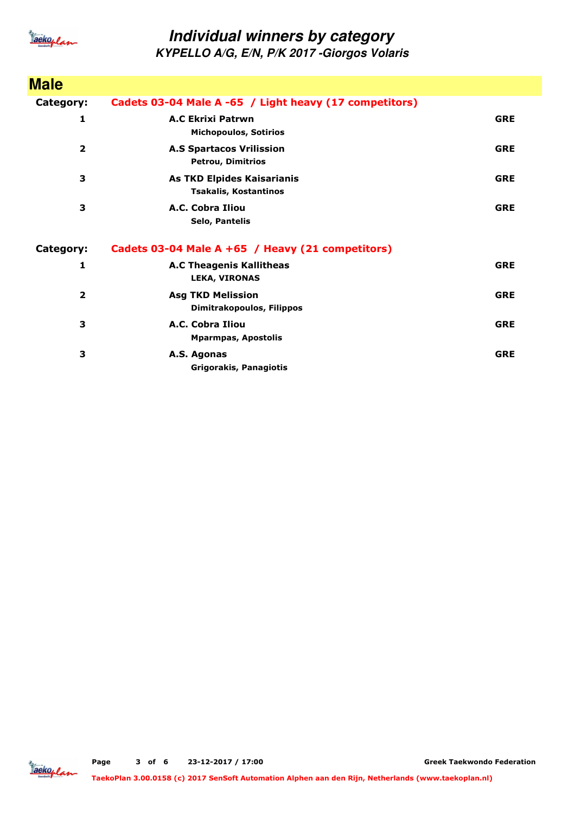

| <b>Male</b>    |                                                                   |            |
|----------------|-------------------------------------------------------------------|------------|
| Category:      | Cadets 03-04 Male A -65 / Light heavy (17 competitors)            |            |
| 1              | <b>A.C Ekrixi Patrwn</b><br><b>Michopoulos, Sotirios</b>          | <b>GRE</b> |
| $\overline{2}$ | <b>A.S Spartacos Vrilission</b><br><b>Petrou, Dimitrios</b>       | <b>GRE</b> |
| 3              | <b>As TKD Elpides Kaisarianis</b><br><b>Tsakalis, Kostantinos</b> | <b>GRE</b> |
| 3              | A.C. Cobra Iliou<br><b>Selo, Pantelis</b>                         | <b>GRE</b> |
| Category:      | Cadets 03-04 Male A +65 / Heavy (21 competitors)                  |            |
| 1              | <b>A.C Theagenis Kallitheas</b><br>LEKA, VIRONAS                  | <b>GRE</b> |
| $\overline{2}$ | <b>Asg TKD Melission</b><br>Dimitrakopoulos, Filippos             | <b>GRE</b> |
| 3              | A.C. Cobra Iliou<br><b>Mparmpas, Apostolis</b>                    | <b>GRE</b> |
| 3              | A.S. Agonas<br>Grigorakis, Panagiotis                             | <b>GRE</b> |

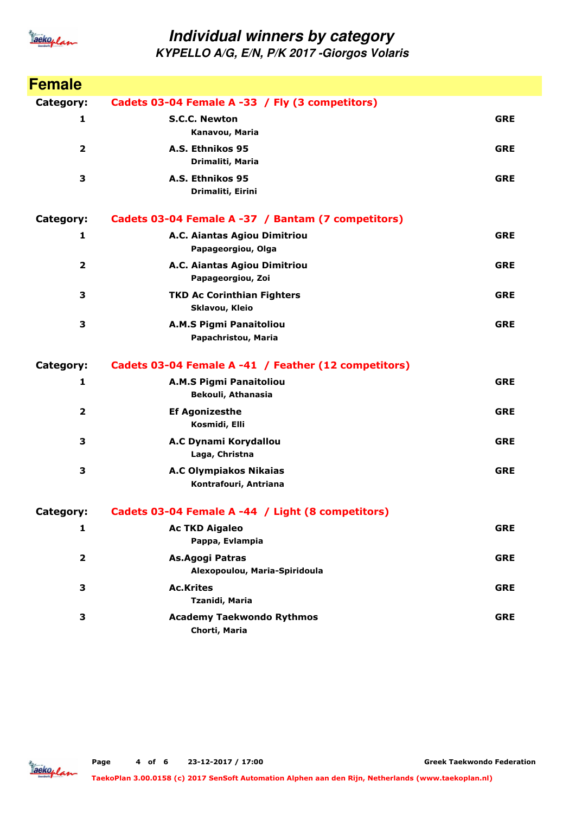

| <b>Female</b>           |                                                        |            |
|-------------------------|--------------------------------------------------------|------------|
| Category:               | Cadets 03-04 Female A -33 / Fly (3 competitors)        |            |
| 1                       | <b>S.C.C. Newton</b><br>Kanavou, Maria                 | <b>GRE</b> |
| $\overline{\mathbf{2}}$ | A.S. Ethnikos 95<br>Drimaliti, Maria                   | <b>GRE</b> |
| 3                       | A.S. Ethnikos 95<br>Drimaliti, Eirini                  | <b>GRE</b> |
| Category:               | Cadets 03-04 Female A -37 / Bantam (7 competitors)     |            |
| 1                       | A.C. Aiantas Agiou Dimitriou<br>Papageorgiou, Olga     | <b>GRE</b> |
| $\mathbf{2}$            | A.C. Aiantas Agiou Dimitriou<br>Papageorgiou, Zoi      | <b>GRE</b> |
| 3                       | <b>TKD Ac Corinthian Fighters</b><br>Sklavou, Kleio    | <b>GRE</b> |
| 3                       | A.M.S Pigmi Panaitoliou<br>Papachristou, Maria         | <b>GRE</b> |
| Category:               | Cadets 03-04 Female A -41 / Feather (12 competitors)   |            |
| 1                       | <b>A.M.S Pigmi Panaitoliou</b><br>Bekouli, Athanasia   | <b>GRE</b> |
| 2                       | <b>Ef Agonizesthe</b><br>Kosmidi, Elli                 | <b>GRE</b> |
| 3                       | A.C Dynami Korydallou<br>Laga, Christna                | <b>GRE</b> |
| 3                       | <b>A.C Olympiakos Nikaias</b><br>Kontrafouri, Antriana | <b>GRE</b> |
| Category:               | Cadets 03-04 Female A -44 / Light (8 competitors)      |            |
| 1                       | <b>Ac TKD Aigaleo</b><br>Pappa, Evlampia               | <b>GRE</b> |
| $\mathbf 2$             | As.Agogi Patras<br>Alexopoulou, Maria-Spiridoula       | <b>GRE</b> |
| З                       | <b>Ac.Krites</b><br>Tzanidi, Maria                     | <b>GRE</b> |
| 3                       | <b>Academy Taekwondo Rythmos</b><br>Chorti, Maria      | <b>GRE</b> |

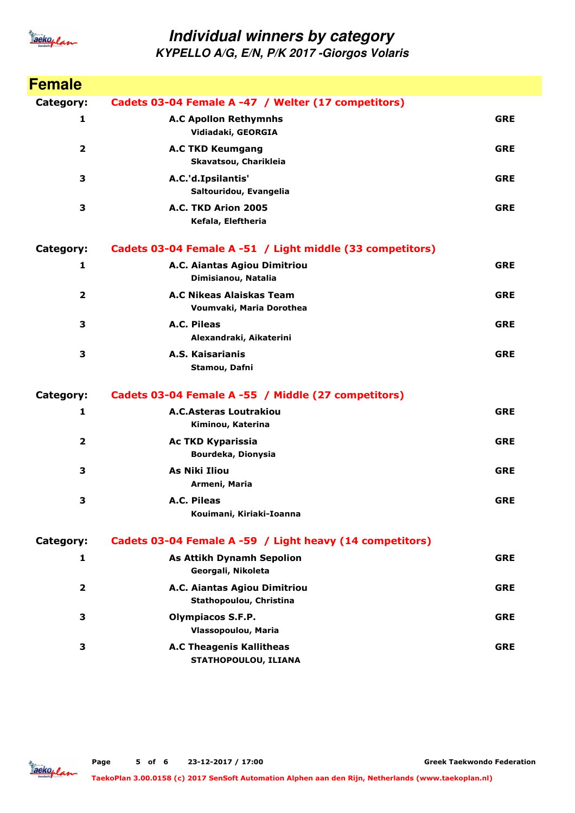

| <b>Female</b>           |                                                           |            |
|-------------------------|-----------------------------------------------------------|------------|
| <b>Category:</b>        | Cadets 03-04 Female A -47 / Welter (17 competitors)       |            |
| 1                       | <b>A.C Apollon Rethymnhs</b><br>Vidiadaki, GEORGIA        | <b>GRE</b> |
| $\overline{\mathbf{2}}$ | <b>A.C TKD Keumgang</b><br>Skavatsou, Charikleia          | <b>GRE</b> |
| 3                       | A.C.'d.Ipsilantis'<br>Saltouridou, Evangelia              | <b>GRE</b> |
| 3                       | A.C. TKD Arion 2005<br>Kefala, Eleftheria                 | <b>GRE</b> |
| Category:               | Cadets 03-04 Female A -51 / Light middle (33 competitors) |            |
| $\mathbf{1}$            | A.C. Aiantas Agiou Dimitriou<br>Dimisianou, Natalia       | <b>GRE</b> |
| $\overline{2}$          | A.C Nikeas Alaiskas Team<br>Voumvaki, Maria Dorothea      | <b>GRE</b> |
| 3                       | A.C. Pileas<br>Alexandraki, Aikaterini                    | <b>GRE</b> |
| 3                       | A.S. Kaisarianis<br>Stamou, Dafni                         | <b>GRE</b> |
| <b>Category:</b>        | Cadets 03-04 Female A -55 / Middle (27 competitors)       |            |
| 1                       | <b>A.C.Asteras Loutrakiou</b><br>Kiminou, Katerina        | <b>GRE</b> |
| $\overline{2}$          | <b>Ac TKD Kyparissia</b><br>Bourdeka, Dionysia            | <b>GRE</b> |
| 3                       | <b>As Niki Iliou</b><br>Armeni, Maria                     | <b>GRE</b> |
| 3                       | A.C. Pileas<br>Kouimani, Kiriaki-Ioanna                   | <b>GRE</b> |
| Category:               | Cadets 03-04 Female A -59 / Light heavy (14 competitors)  |            |
| 1                       | <b>As Attikh Dynamh Sepolion</b><br>Georgali, Nikoleta    | <b>GRE</b> |
| $\mathbf{2}$            | A.C. Aiantas Agiou Dimitriou<br>Stathopoulou, Christina   | <b>GRE</b> |
| 3                       | <b>Olympiacos S.F.P.</b><br>Vlassopoulou, Maria           | <b>GRE</b> |
| 3                       | <b>A.C Theagenis Kallitheas</b><br>STATHOPOULOU, ILIANA   | <b>GRE</b> |